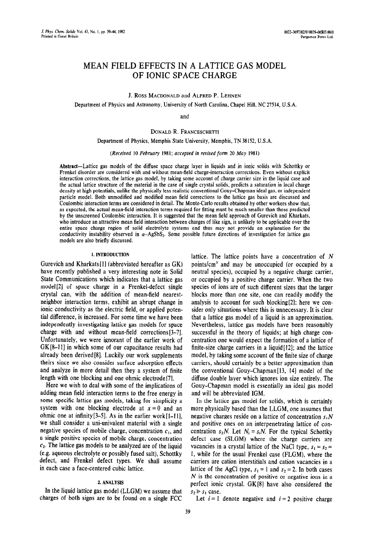# MEAN FIELD EFFECTS IN A LATTICE GAS MODEL OF IONIC SPACE CHARGE

J. Ross MACDONALD and ALFRED P. LEHNEN

Department of Physics and Astronomy, University of North Carolina, Chapel Hill, NC 27514, U.S.A.

and

DONALD R. FRANCESCHETTI

Department of Physics, Memphis State University, Memphis, TN 38152, U.S.A.

*(Received 10 February 1981; accepted in revised jotm 20 May 1981)* 

Abstract-Lattice gas models of the diffuse space charge layer in liquids and in ionic solids with Schottky or Frenkel disorder are considered with and without mean-field charge-interaction corrections. Even without explicit interaction corrections, the lattice gas model, by taking some account of charge carrier size in the liquid case and the actual lattice structure of the material in the case of single crystal solids, predicts a saturation in local charge density at high potentials, unlike the physically less realistic conventional Gouy-Chapman ideal gas, or independent particle model. Both unmodified and modified mean field corrections to the lattice gas basis are discussed and Coulombic interaction terms are considered in detail. The Monte-Carlo results obtained by other workers show that, as expected, the actual mean-field interaction terms required for fitting must be much smaller than those predicted by the unscreened Coulombic interaction. It is suggested that the mean field approach of Gurevich and Kharkats, who introduce an attractive mean field interaction between charges of like sign, is unlikely to be applicable over the entire space charge region of solid electrolyte systems and thus may not provide an explanation for the conductivity instability observed in  $\alpha$ -AgSbS<sub>2</sub>. Some possible future directions of investigation for lattice gas models are also briefly discussed.

## **1.** INTRODUCTJON

Gurevich and Kharkats [I] (abbreviated hereafter as GK) have recently published a very interesting note in Solid State Communications which indicates that a lattice gas model[2] of space charge in a Frenkel-defect single crystal can, with the addition of mean-field nearestneighbor interaction terms, exhibit an abrupt change in ionic conductivity as the electric field, or applied potential difference, is increased. For some time we have been independently investigating lattice gas models for space charge with and without mean-field corrections [3-71. Unfortunately, we were ignorant of the earlier work of GK[8-111 in which some of our capacitance results had already been derived[8]. Luckily our work supplements theirs since we also consider surface adsorption effects and analyze in more detail then they a system of finite length with one blocking and one ohmic electrode [7].

Here we wish to deal with some of the implications of adding mean field interaction terms to the free energy in some specific lattice gas models, taking for simplicity a system with one blocking electrode at  $x = 0$  and an ohmic one at infinity  $[3-5]$ . As in the earlier work $[1-11]$ , we shall consider a uni-univalent material with a single negative species of mobile charge, concentration  $c<sub>1</sub>$ , and a single positive species of mobile charge, concentration  $c<sub>2</sub>$ . The lattice gas models to be analyzed are of the liquid (e.g. aqueous electrolyte or possibly fused salt), Schottky defect, and Frenkel defect types. We shall assume in each case a face-centered cubic lattice.

## 2. ANALYSJS

In the liquid lattice gas model (LLGM) we assume that charges of both signs are to be found on a single FCC lattice. The lattice points have a concentration of N points/cm3 and may be unoccupied (or occupied by a neutral species), occupied by a negative charge carrier, or occupied by a positive charge carrier. When the two species of ions are of such different sizes that the larger blocks more than one site, one can readily modify the analysis to account for such blocking[21; here we consider only situations where this is unnecessary. It is clear that a lattice gas model of a liquid is an approximation. Nevertheless, lattice gas models have been reasonably successful in the theory of liquids; at high charge concentration one would expect the formation of a lattice of finite-size charge carriers in a liquid  $[12]$ ; and the lattice model, by taking some account of the finite size of charge carriers, should certainly be a better approximation than the conventional Gouy-Chapman[l3, 141 model of the diffuse double layer which ignores ion size entirely. The Gouy-Chapman model is essentially an ideal gas model and will be abbreviated IGM.

In the lattice gas model for solids, which is certainly more physically based than the LLGM, one assumes that negative charges reside on a lattice of concentration  $s_1N$ and positive ones on an interpenetrating lattice of concentration  $s_2N$ . Let  $N_i = s_iN$ . For the typical Schottky defect case (SLGM) where the charge carriers are vacancies in a crystal lattice of the NaCl type,  $s_1 = s_2$  = 1, while for the usual Frenkel case (FLGM), where the carriers are cation interstitials and cation vacancies in a lattice of the AgCl type,  $s_1 = 1$  and  $s_2 = 2$ . In both cases  $N$  is the concentration of positive or negative ions in a perfect ionic crystal. GK[8] have also considered the  $s_2 \geq s_1$  case.

Let  $i = 1$  denote negative and  $i = 2$  positive charge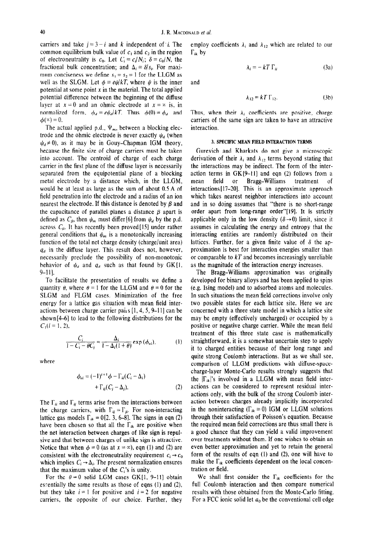carriers and take  $j = 3 - i$  and *k* independent of *i*. The common equilibrium bulk value of  $c_1$  and  $c_2$  in the region of electroneutrality is  $c_0$ . Let  $C_i \equiv c_i/N_i$ ;  $\delta \equiv c_0/N$ , the fractional bulk concentration; and  $\Delta_i = \delta/s_i$ . For maximum conciseness we define  $s_1 = s_2 = 1$  for the LLGM as well as the SLGM. Let  $\phi = e\psi/kT$ , where  $\psi$  is the inner potential at some point  $x$  in the material. The total applied potential difference between the beginning of the diffuse layer at  $x = 0$  and an ohmic electrode at  $x = \infty$  is, in normalized form,  $\phi_d = e \psi_d / kT$ . Thus  $\phi(0) = \phi_d$  and  $\phi(\infty) = 0.$ 

The actual applied p.d.,  $\Psi_m$ , between a blocking electrode and the ohmic electrode is never exactly  $\psi_d$  (when  $\psi_d \neq 0$ , as it may be in Gouy-Chapman IGM theory, because the finite size of charge carriers must be taken into account. The centroid of charge of each charge carrier in the first plane of the diffuse layer is necessarily separated from the equipotential plane of a blocking metal electrode by a distance which, in the LLGM, would be at least as large as the sum of about 0.5 A of field penetration into the electrode and a radius of an ion nearest the electrode. If this distance is denoted by  $\beta$  and the capacitance of parallel planes a distance  $\beta$  apart is defined as  $C_{\beta}$ , then  $\psi_m$  must differ [6] from  $\psi_d$  by the p.d. across  $C_{\beta}$ . It has recently been proved [15] under rather general conditions that  $\psi_m$  is a monotonically increasing function of the total net charge density (charge/unit area)  $q_d$  in the diffuse layer. This result does not, however, necessarily preclude the possibility of non-monotonic behavior of  $\psi_d$  and  $q_d$  such as that found by GK[1, 9-111.

To facilitate the presentation of results we define a quantity  $\theta$ , where  $\theta = 1$  for the LLGM and  $\theta = 0$  for the SLGM and FLGM cases. Minimization of the free energy for a lattice gas situation with mean field interactions between charge carrier pails  $[1, 4, 5, 9-11]$  can be shown[4-61 to lead to the following distributions for the  $C_1(i = 1, 2)$ ,

$$
\frac{C_i}{1 - C_i - \theta C_j} = \frac{\Delta_i}{1 - \Delta_i (1 + \theta)} \exp{(\phi_{ei})},
$$
 (1)

where

$$
\phi_{ei} = (-1)^{i+1} \phi - \Gamma_{ii} (C_i - \Delta_i)
$$
  
+ 
$$
\Gamma_{ij} (C_j - \Delta_j).
$$
 (2)

The  $\Gamma_{ii}$  and  $\Gamma_{ij}$  terms arise from the interactions between the charge carriers, with  $\Gamma_{ij} = \Gamma_{ji}$ . For non-interacting lattice gas models  $\Gamma_{ik} = 0[2, 3, 6-8]$ . The signs in eqn (2) have been chosen so that all the  $\Gamma_{ik}$  are positive when the net interaction between charges of like sign is repulsive and that between charges of unlike sign is attractive. Notice that when  $\phi = 0$  (as at  $x = \infty$ ), eqn (1) and (2) are consistent with the electroneutrality requirement  $c_i \rightarrow c_0$ which implies  $C_i \rightarrow \Delta_i$ . The present normalization ensures that the maximum value of the  $C_i$ 's is unity.

esrentially the same results as those of eqns (1) and (2), full Coulomb interaction and then compare numerical but they take  $i = 1$  for positive and  $i = 2$  for negative results with those obtained from the Monte-Carlo fitting. carriers, the opposite of our choice. Further, they For a FCC ionic solid let  $a_0$  be the conventional cell edge

employ coefficients  $\lambda_i$  and  $\lambda_{12}$  which are related to our  $\Gamma_{ik}$  by

$$
\lambda_i = -kT \Gamma_{ii} \tag{3a}
$$

and

$$
\lambda_{12} = kT \Gamma_{12}.
$$
 (3b)

Thus, when their  $\lambda_i$  coefficients are positive, charge carriers of the same sign are taken to have an attractive interaction.

### **3. SPECIFIC MEAN FIELD INTERACTION TERMS**

Gurevich and Kharkats do not give a microscopic derivation of their  $\lambda_i$  and  $\lambda_{12}$  terms beyond stating that the interactions may be indirect. The form of the interaction terms in GK[9-II] and eqn (2) follows from a mean field or Bragg-Williams treatment of  $interactions [17-20]$ . This is an approximate approach which takes nearest neighbor interactions into account and in so doing assumes that "there is no short-range order apart from long-range order"[l9]. It is strictly applicable only in the low density ( $\delta \rightarrow 0$ ) limit, since it assumes in calculating the energy and entropy that the interacting entities are randomly distributed on their lattices. Further, for a given finite value of  $\delta$  the approximation is best for interaction energies smaller than or comparable to *kT* and becomes increasingly unreliable as the magnitude of the interaction energy increases.

The Bragg-Williams approximation was originally developed for binary alloys and has been applied to spins (e.g. Ising model) and to adsorbed atoms and molecules. In such situations the mean field corrections involve only two possible states for each lattice site. Here we are concerned with a three state model in which a lattice site may be empty (effectively uncharged) or occupied by a positive or negative charge carrier. While the mean field treatment of this three state case is mathematically straightforward, it is a somewhat uncertain step to apply it to charged entities because of their long range and quite strong Coulomb interactions. But as we shall see, comparison of LLGM predictions with diffuse-spacecharge-layer Monte-Carlo results strongly suggests that the  $|\Gamma_{ik}|$ 's involved in a LLGM with mean field interactions can be considered to represent residual interactions only, with the bulk of the strong Coulomb interaction between charges already implicitly incorporated in the noninteracting ( $\Gamma_{ik} \equiv 0$ ) IGM or LLGM solutions through their satisfaction of Poisson's equation. Because the required mean field corrections are thus small there is a good chance that they can yield a valid improvement over treatments without them. If one wishes to obtain an even better approximation and yet to retain the general form of the results of eqn  $(1)$  and  $(2)$ , one will have to make the  $\Gamma_{ik}$  coefficients dependent on the local concentration or field.

For the  $\theta = 0$  solid LGM cases GK[1, 9-11] obtain We shall first consider the  $\Gamma_{ik}$  coefficients for the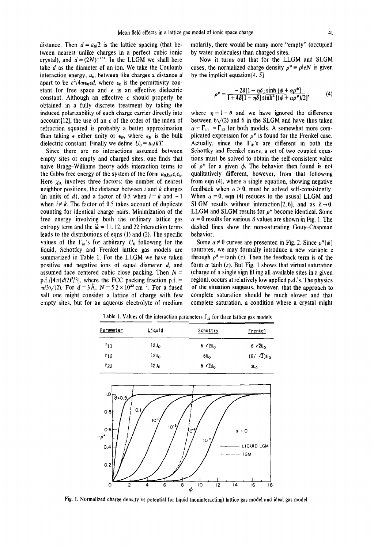distance. Then  $d = a_0/2$  is the lattice spacing (that between nearest unlike charges in a perfect cubic ionic crystal), and  $d = (2N)^{-1/3}$ . In the LLGM we shall here take *d* as the diameter of an ion. We take the Coulomb interaction energy,  $u_0$ , between like charges a distance  $d$ apart to be  $e^2/4\pi\epsilon_0 \epsilon d$ , where  $\epsilon_0$  is the permittivity constant for free space and  $\epsilon$  is an effective dielectric constant. Although an effective  $\epsilon$  should properly be obtained in a fully discrete treatment by taking the induced polarizability of each charge carrier directly into account [12], the use of an  $\epsilon$  of the order of the index of refraction squared is probably a better approximation than taking  $\epsilon$  either unity or  $\epsilon_B$ , where  $\epsilon_B$  is the bulk dielectric constant. Finally we define  $U_0 = u_0/kT$ .

Since there are no interactions assumed between empty sites or empty and charged sites, one finds that naive Bragg-Williams theory adds interaction terms to the Gibbs free energy of the system of the form  $u_0 \chi_{ik} c_i c_k$ . Here  $\chi_{ik}$  involves three factors: the number of nearest neighbor positions, the distance between *i* and *k* charges (in units of *d*), and a factor of 0.5 when  $i = k$  and  $-1$ when  $i \neq k$ . The factor of 0.5 takes account of duplicate counting for identical charge pairs. Minimization of the free energy involving both the ordinary lattice gas entropy term and the  $ik = 11$ , 12, and 22 interaction terms leads to the distributions of eqns (1) and (2). The specific values of the  $\Gamma_{ik}$ 's for arbitrary  $U_0$  following for the liquid, Schottky and Frenkel lattice gas models are summarized in Table 1. For the LLGM we have taken positive and negative ions of equal diameter *d,* and assumed face centered cubic close packing. Then  $N =$ p.f./[ $4\pi(d/2)^3/3$ ], where the FCC packing fraction p.f. =  $\pi/3\sqrt{2}$ . For  $d = 3\text{\AA}$ ,  $N = 5.2 \times 10^{22} \text{ cm}^{-3}$ . For a fused salt one might consider a lattice of charge with few empty sites, but for an aqueous electrolyte of medium molarity, there would be many more "empty" (occupied by water molecules) than charged sites.

Now it turns out that for the LLGM and SLGM cases, the normalized charge density  $\rho^* = \rho / eN$  is given by the implicit equation[4, 51

$$
\rho^* = \frac{-2\delta[1-\eta\delta]\sinh\left[\phi+\alpha\rho^*\right]}{1+4\delta[1-\eta\delta]\sinh^2\left[(\phi+\alpha\rho^*)/2\right]},\tag{4}
$$

where  $\eta = 1 - \theta$  and we have ignored the difference between  $6\sqrt{2}$  and 6 in the SLGM and have thus taken  $\alpha = \Gamma_{11} = \Gamma_{12}$  for both models. A somewhat more complicated expression for  $\rho^*$  is found for the Frenkel case. Actually, since the  $\Gamma_{ik}$ 's are different in both the Schottky and Frenkel cases, a set of two coupled equations must be solved to obtain the self-consistent value of  $\rho^*$  for a given  $\phi$ . The behavior then found is not qualitatively different, however, from that following from eqn (4), where a single equation, showing negative feedback when  $\alpha > 0$ , must be solved self-consistently. When  $\alpha = 0$ , eqn (4) reduces to the ususal LLGM and SLGM results without interaction [2, 6], and as  $\delta \rightarrow 0$ , LLGM and SLGM results for  $\rho^*$  become identical. Some  $\alpha = 0$  results for various  $\delta$  values are shown in Fig. 1. The dashed lines show the non-saturating Gouy-Chapman behavior.

Some  $\alpha \neq 0$  curves are presented in Fig. 2. Since  $\rho^*(\phi)$ saturates, we may formally introduce a new variable z through  $\rho^* = \tanh(z)$ . Then the feedback term is of the form  $\alpha$  tanh (z). But Fig. 1 shows that virtual saturation (charge of a single sign filling all available sites in a given region), occurs at relatively low applied p.d.'s. The physics of the situation suggests, however, that the approach to complete saturation should be much slower and that complete saturation, a condition where a crystal might

Table 1. Values of the interaction parameters  $\Gamma_{ik}$  for three lattice gas models

| <u>Liquid</u>    | Schottky              | <u>Frenkel</u>                 |
|------------------|-----------------------|--------------------------------|
| 120 <sub>0</sub> | $6\sqrt{2}U_{\Omega}$ | $6 \sqrt{2}U_0$                |
| 120 <sub>o</sub> | 60 <sub>o</sub>       | $(8/ \sqrt{3})$ U <sub>0</sub> |
| 12U <sub>0</sub> | $6\sqrt{2}U_0$        | $3U_0$                         |
|                  |                       |                                |



Fig. 1. Normalized charge density vs potential for liquid (noninteracting) lattice gas model and ideal gas model.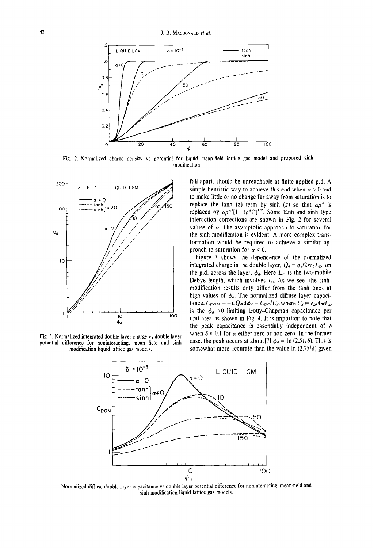

Fig. 2. Normalized charge density vs potential for liquid mean-field lattice gas model and proposed sinh modification.



Fig. 3. Normalized integrated double layer charge vs double layer potential difference for noninteracting, mean field and sinh modification liquid lattice gas models.

fall apart, should be unreachable at finite applied p.d. A simple heuristic way to achieve this end when  $\alpha > 0$  and to make little or no change far away from saturation is to replace the tanh (z) term by sinh (z) so that  $\alpha p^*$  is replaced by  $\alpha p^{*}/[1 - (\rho^{*})^2]^{1/2}$ . Some tanh and sinh type interaction corrections are shown in Fig. 2 for several values of  $\alpha$ . The asymptotic approach to saturation for the sinh modification is evident. A more complex transformation would be required to achieve a similar approach to saturation for  $\alpha < 0$ .

Figure 3 shows the dependence of the normalized integrated charge in the double layer,  $Q_d = q_d/2ec_0L_D$ , on the p.d. across the layer,  $\phi_d$ . Here  $L_D$  is the two-mobile Debye length, which involves  $c_0$ . As we see, the sinhmodification results only differ from the tanh ones at high values of  $\phi_d$ . The normalized diffuse layer capacitance,  $C_{DOM} = -dQ_d/d\phi_d = C_{DO}/C_d$ , where  $C_d = \epsilon_B/4\pi L_D$ is the  $\phi_d \rightarrow 0$  limiting Gouy-Chapman capacitance per unit area, is shown in Fig. 4. It is important to note that the peak capacitance is essentially independent of  $\delta$ when  $\delta \le 0.1$  for  $\alpha$  either zero or non-zero. In the former case, the peak occurs at about [7]  $\phi_d = \ln(2.51/\delta)$ . This is somewhat more accurate than the value  $\ln (2.75/\delta)$  given



Normalized diffuse double layer capacitance vs double layer potential difference for noninteracting, mean-field and sinh modification liquid lattice gas models.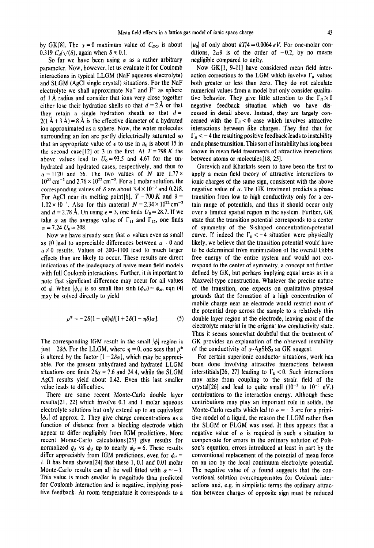by GK[8]. The  $x = 0$  maximum value of  $C_{DO}$  is about 0.319  $C_d/\sqrt{(\delta)}$ , again when  $\delta \le 0.1$ .

So far we have been using  $\alpha$  as a rather arbitrary parameter. Now, however, let us evaluate it for Coulomb interactions in typical LLGM (NaF aqueous electrolyte) and SLGM (AgCI single crystal) situations. For the NaF electrolyte we shall approximate  $Na<sup>+</sup>$  and  $F<sup>-</sup>$  as sphere of 1 A radius and consider that ions very close together either lose their hydration shells so that  $d = 2 \text{ Å}$  or that they retain a single hydration sheath so that  $d =$  $2(1 \text{ Å} + 3 \text{ Å}) = 8 \text{ Å}$  is the effective diameter of a hydrated ion approximated as a sphere. Now, the water molecules surrounding an ion are partly dielectrically saturated so that an appropriate value of  $\epsilon$  to use in  $u_0$  is about 15 in the second case<sup>[12]</sup> or 3 in the first. At  $T = 298 K$  the above values lead to  $U_0 \approx 93.5$  and 4.67 for the unhydrated and hydrated cases, respectively, and thus to  $\alpha \approx 1120$  and 56. The two values of N are 1.77 ×  $10^{23}$  cm<sup>-3</sup> and  $2.76 \times 10^{22}$  cm<sup>-3</sup>. For a 1 molar solution, the corresponding values of  $\delta$  are about 3.4 × 10<sup>-3</sup> and 0.218. For AgCl near its melting point [6],  $T = 700 K$  and  $\delta =$  $1.02 \times 10^{-3}$ . Also for this material  $N = 2.34 \times 10^{22}$  cm<sup>-3</sup> and  $d = 2.78$  Å. On using  $\epsilon = 3$ , one finds  $U_0 \approx 28.7$ . If we take  $\alpha$  as the average value of  $\Gamma_{11}$  and  $\Gamma_{12}$ , one finds  $\alpha = 7.24 \ U_0 \approx 208.$ 

Now we have already seen that  $\alpha$  values even as small as 10 lead to appreciable differences between  $\alpha = 0$  and  $\alpha \neq 0$  results. Values of 200-1100 lead to much larger effects than are likely to occur. These results are direct indications of the inadequacy of naive mean field models with full Coulomb interactions. Further, it is important to note that significant difference may occur for all values of  $\phi$ . When  $|\phi_{ei}|$  is so small that sinh  $(\phi_{ei}) \simeq \phi_{ei}$ , eqn (4) may be solved directly to yield

$$
\rho^* = -2\delta(1-\eta\delta)\phi/[1+2\delta(1-\eta\delta)\alpha].
$$
 (5)

The corresponding IGM result in the small  $|\phi|$  region is just  $-2\delta\phi$ . For the LLGM, where  $\eta = 0$ , one sees that  $\rho^*$ is altered by the factor  $[1 + 2\delta\alpha]$ , which may be appreciable. For the present unhydrated and hydrated LLGM situations one finds  $2\delta \alpha \approx 7.6$  and 24.4, while the SLGM AgCl results yield about 0.42. Even this last smaller value leads to difficulties.

There are some recent Monte-Carlo double layer results[21, 221 which involve 0.1 and 1 molar aqueous electrolyte solutions but only extend up to an equivalent  $|\phi_a|$  of approx. 2. They give charge concentrations as a function of distance from a blocking electrode which appear to differ negligibly from IGM predictions. More recent Monte-Carlo calculations [23] give results for normalized  $q_d$  vs  $\phi_d$  up to nearly  $\phi_d = 6$ . These results differ appreciably from IGM predictions, even for  $\phi_d =$ 1. It has been shown $[24]$  that these 1, 0.1 and 0.01 molar Monte-Carlo results can all be well fitted with  $\alpha \approx -3$ . This value is much smaller in magnitude than predicted for Coulomb interaction and is negative, implying positive feedback. At room temperature it corresponds to a  $|u_0|$  of only about  $kT/4 \approx 0.0064 \text{ eV}$ . For one-molar conditions,  $2\alpha\delta$  is of the order of -0.2, by no means negligible compared to unity.

Now GK[1, 9-11] have considered mean field interaction corrections to the LGM which involve  $\Gamma_{ii}$  values both greater or less than zero. They do not calculate numerical values from a mode1 but only consider qualitative behavior. They give little attention to the  $\Gamma_{ii} > 0$ negative feedback situation which we have discussed in detail above. Instead, they are largely concerned with the  $\Gamma_{ii}$  < 0 case which involves attractive interactions between like charges. They find that for  $\Gamma_{ii}$  < -4 the resulting positive feedback leads to instability and a phase transition. This sort of instability has long been known in mean field treatments of attractive interactions between atoms or molecules [18, 25].

Gurevich and Kharkats seem to have been the first to apply a mean field theory of attractive interactions to ionic charges of the same sign, consistent with the above negative value of  $\alpha$ . The GK treatment predicts a phase transition from low to high conductivity only for a certain range of potentials, and thus it should occur only over a limited spatial region in the system. Further, GK state that the transition potential corresponds to a center of symmetry of the S-shaped concentration-potential curve. If indeed the  $\Gamma_{ii} < -4$  situation were physically likely, we believe that the transition potential would have to be determined from minimization of the overall Gibbs free energy of the entire system and would not correspond to the center of symmetry, a concept not further defined by GK, but perhaps implying equal areas as in a Maxwell-type construction. Whatever the precise nature of the transition, one expects on qualitative physical grounds that the formation of a high concentration of mobile charge near an electrode would restrict most of the potential drop across the sample to a relatively thin double layer region at the electrode, leaving most of the electrolyte material in the original low conductivity state. Thus it seems somewhat doubtful that the treatment of GK provides an explanation of the observed instability of the conductivity of  $\alpha$ -AgSbS<sub>2</sub> as GK suggest.

For certain superionic conductor situations, work has been done involving attractive interactions between interstitials [26, 27] leading to  $\Gamma_{ii}$  < 0. Such interactions may arise from coupling to the strain field of the crystal[26] and lead to quite small  $(10^{-2}$  to  $10^{-1}$  eV.) contributions to the interaction energy. Although these contributions may play an important role in solids, the Monte-Carlo results which led to  $\alpha \approx -3$  are for a primitive model of a liquid, the reason the LLGM rather than the SLGM or FLGM was used. It thus appears that a negative value of  $\alpha$  is required is such a situation to compensate for errors in the ordinary solution of Poisson's equation, errors introduced at least in part by the conventional replacement of the potential of mean force on an ion by the local continuum electrolyte potential. The negative value of  $\alpha$  found suggests that the conventional solution overcompensates for Coulomb interactions and, e.g. in simplistic terms the ordinary attraction between charges of opposite sign must be reduced